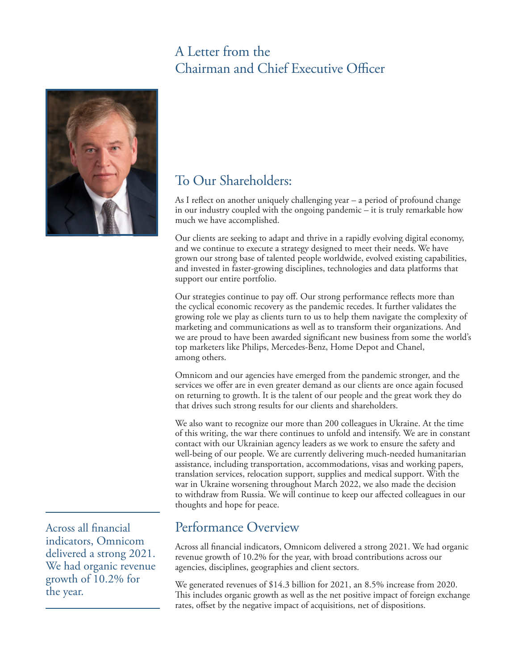## A Letter from the Chairman and Chief Executive Officer



## To Our Shareholders:

As I reflect on another uniquely challenging year – a period of profound change in our industry coupled with the ongoing pandemic – it is truly remarkable how much we have accomplished.

Our clients are seeking to adapt and thrive in a rapidly evolving digital economy, and we continue to execute a strategy designed to meet their needs. We have grown our strong base of talented people worldwide, evolved existing capabilities, and invested in faster-growing disciplines, technologies and data platforms that support our entire portfolio.

Our strategies continue to pay off. Our strong performance reflects more than the cyclical economic recovery as the pandemic recedes. It further validates the growing role we play as clients turn to us to help them navigate the complexity of marketing and communications as well as to transform their organizations. And we are proud to have been awarded significant new business from some the world's top marketers like Philips, Mercedes-Benz, Home Depot and Chanel, among others.

Omnicom and our agencies have emerged from the pandemic stronger, and the services we offer are in even greater demand as our clients are once again focused on returning to growth. It is the talent of our people and the great work they do that drives such strong results for our clients and shareholders.

We also want to recognize our more than 200 colleagues in Ukraine. At the time of this writing, the war there continues to unfold and intensify. We are in constant contact with our Ukrainian agency leaders as we work to ensure the safety and well-being of our people. We are currently delivering much-needed humanitarian assistance, including transportation, accommodations, visas and working papers, translation services, relocation support, supplies and medical support. With the war in Ukraine worsening throughout March 2022, we also made the decision to withdraw from Russia. We will continue to keep our affected colleagues in our thoughts and hope for peace.

## Performance Overview

Across all financial indicators, Omnicom delivered a strong 2021. We had organic revenue growth of 10.2% for the year, with broad contributions across our agencies, disciplines, geographies and client sectors.

We generated revenues of \$14.3 billion for 2021, an 8.5% increase from 2020. This includes organic growth as well as the net positive impact of foreign exchange rates, offset by the negative impact of acquisitions, net of dispositions.

Across all financial indicators, Omnicom delivered a strong 2021. We had organic revenue growth of 10.2% for the year.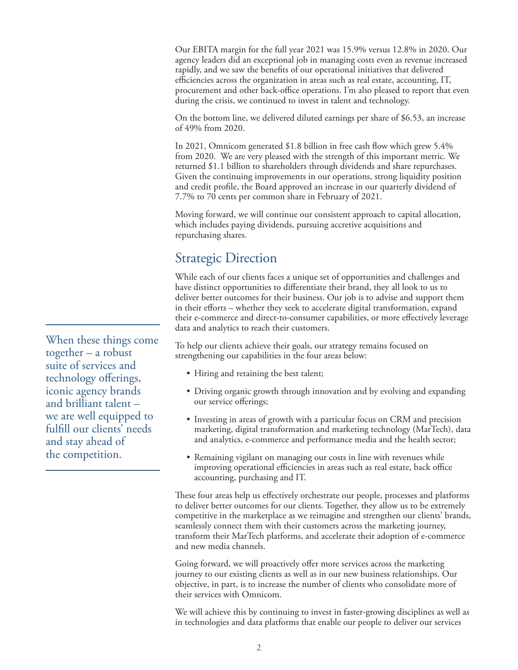Our EBITA margin for the full year 2021 was 15.9% versus 12.8% in 2020. Our agency leaders did an exceptional job in managing costs even as revenue increased rapidly, and we saw the benefits of our operational initiatives that delivered efficiencies across the organization in areas such as real estate, accounting, IT, procurement and other back-office operations. I'm also pleased to report that even during the crisis, we continued to invest in talent and technology.

On the bottom line, we delivered diluted earnings per share of \$6.53, an increase of 49% from 2020.

In 2021, Omnicom generated \$1.8 billion in free cash flow which grew 5.4% from 2020. We are very pleased with the strength of this important metric. We returned \$1.1 billion to shareholders through dividends and share repurchases. Given the continuing improvements in our operations, strong liquidity position and credit profile, the Board approved an increase in our quarterly dividend of 7.7% to 70 cents per common share in February of 2021.

Moving forward, we will continue our consistent approach to capital allocation, which includes paying dividends, pursuing accretive acquisitions and repurchasing shares.

### Strategic Direction

While each of our clients faces a unique set of opportunities and challenges and have distinct opportunities to differentiate their brand, they all look to us to deliver better outcomes for their business. Our job is to advise and support them in their efforts – whether they seek to accelerate digital transformation, expand their e-commerce and direct-to-consumer capabilities, or more effectively leverage data and analytics to reach their customers.

To help our clients achieve their goals, our strategy remains focused on strengthening our capabilities in the four areas below:

- Hiring and retaining the best talent;
- Driving organic growth through innovation and by evolving and expanding our service offerings;
- Investing in areas of growth with a particular focus on CRM and precision marketing, digital transformation and marketing technology (MarTech), data and analytics, e-commerce and performance media and the health sector;
- Remaining vigilant on managing our costs in line with revenues while improving operational efficiencies in areas such as real estate, back office accounting, purchasing and IT.

These four areas help us effectively orchestrate our people, processes and platforms to deliver better outcomes for our clients. Together, they allow us to be extremely competitive in the marketplace as we reimagine and strengthen our clients' brands, seamlessly connect them with their customers across the marketing journey, transform their MarTech platforms, and accelerate their adoption of e-commerce and new media channels.

Going forward, we will proactively offer more services across the marketing journey to our existing clients as well as in our new business relationships. Our objective, in part, is to increase the number of clients who consolidate more of their services with Omnicom.

We will achieve this by continuing to invest in faster-growing disciplines as well as in technologies and data platforms that enable our people to deliver our services

When these things come together – a robust suite of services and technology offerings, iconic agency brands and brilliant talent – we are well equipped to fulfill our clients' needs and stay ahead of the competition.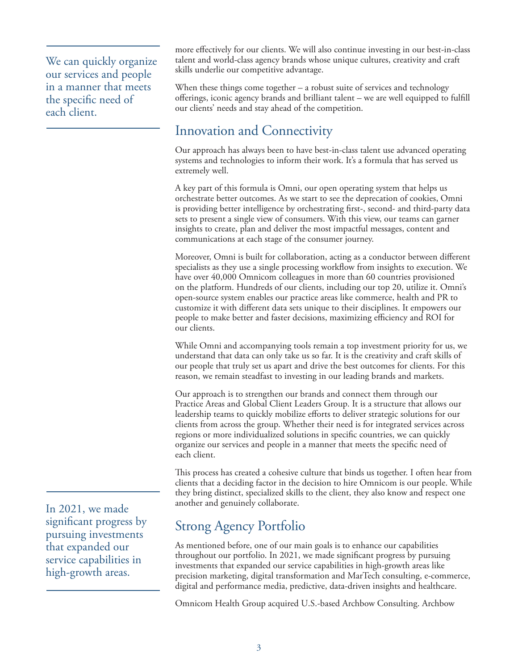We can quickly organize our services and people in a manner that meets the specific need of each client.

more effectively for our clients. We will also continue investing in our best-in-class talent and world-class agency brands whose unique cultures, creativity and craft skills underlie our competitive advantage.

When these things come together – a robust suite of services and technology offerings, iconic agency brands and brilliant talent – we are well equipped to fulfill our clients' needs and stay ahead of the competition.

## Innovation and Connectivity

Our approach has always been to have best-in-class talent use advanced operating systems and technologies to inform their work. It's a formula that has served us extremely well.

A key part of this formula is Omni, our open operating system that helps us orchestrate better outcomes. As we start to see the deprecation of cookies, Omni is providing better intelligence by orchestrating first-, second- and third-party data sets to present a single view of consumers. With this view, our teams can garner insights to create, plan and deliver the most impactful messages, content and communications at each stage of the consumer journey.

Moreover, Omni is built for collaboration, acting as a conductor between different specialists as they use a single processing workflow from insights to execution. We have over 40,000 Omnicom colleagues in more than 60 countries provisioned on the platform. Hundreds of our clients, including our top 20, utilize it. Omni's open-source system enables our practice areas like commerce, health and PR to customize it with different data sets unique to their disciplines. It empowers our people to make better and faster decisions, maximizing efficiency and ROI for our clients.

While Omni and accompanying tools remain a top investment priority for us, we understand that data can only take us so far. It is the creativity and craft skills of our people that truly set us apart and drive the best outcomes for clients. For this reason, we remain steadfast to investing in our leading brands and markets.

Our approach is to strengthen our brands and connect them through our Practice Areas and Global Client Leaders Group. It is a structure that allows our leadership teams to quickly mobilize efforts to deliver strategic solutions for our clients from across the group. Whether their need is for integrated services across regions or more individualized solutions in specific countries, we can quickly organize our services and people in a manner that meets the specific need of each client.

This process has created a cohesive culture that binds us together. I often hear from clients that a deciding factor in the decision to hire Omnicom is our people. While they bring distinct, specialized skills to the client, they also know and respect one another and genuinely collaborate.

# Strong Agency Portfolio

As mentioned before, one of our main goals is to enhance our capabilities throughout our portfolio. In 2021, we made significant progress by pursuing investments that expanded our service capabilities in high-growth areas like precision marketing, digital transformation and MarTech consulting, e-commerce, digital and performance media, predictive, data-driven insights and healthcare.

Omnicom Health Group acquired U.S.-based Archbow Consulting. Archbow

In 2021, we made significant progress by pursuing investments that expanded our service capabilities in high-growth areas.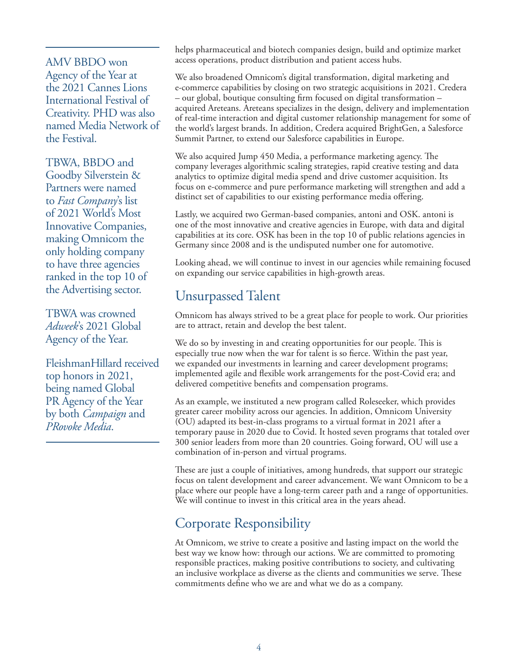AMV BBDO won Agency of the Year at the 2021 Cannes Lions International Festival of Creativity. PHD was also named Media Network of the Festival.

TBWA, BBDO and Goodby Silverstein & Partners were named to *Fast Company*'s list of 2021 World's Most Innovative Companies, making Omnicom the only holding company to have three agencies ranked in the top 10 of the Advertising sector.

TBWA was crowned *Adweek*'s 2021 Global Agency of the Year.

FleishmanHillard received top honors in 2021, being named Global PR Agency of the Year by both *Campaign* and *PRovoke Media*.

helps pharmaceutical and biotech companies design, build and optimize market access operations, product distribution and patient access hubs.

We also broadened Omnicom's digital transformation, digital marketing and e-commerce capabilities by closing on two strategic acquisitions in 2021. Credera – our global, boutique consulting firm focused on digital transformation – acquired Areteans. Areteans specializes in the design, delivery and implementation of real-time interaction and digital customer relationship management for some of the world's largest brands. In addition, Credera acquired BrightGen, a Salesforce Summit Partner, to extend our Salesforce capabilities in Europe.

We also acquired Jump 450 Media, a performance marketing agency. The company leverages algorithmic scaling strategies, rapid creative testing and data analytics to optimize digital media spend and drive customer acquisition. Its focus on e-commerce and pure performance marketing will strengthen and add a distinct set of capabilities to our existing performance media offering.

Lastly, we acquired two German-based companies, antoni and OSK. antoni is one of the most innovative and creative agencies in Europe, with data and digital capabilities at its core. OSK has been in the top 10 of public relations agencies in Germany since 2008 and is the undisputed number one for automotive.

Looking ahead, we will continue to invest in our agencies while remaining focused on expanding our service capabilities in high-growth areas.

### Unsurpassed Talent

Omnicom has always strived to be a great place for people to work. Our priorities are to attract, retain and develop the best talent.

We do so by investing in and creating opportunities for our people. This is especially true now when the war for talent is so fierce. Within the past year, we expanded our investments in learning and career development programs; implemented agile and flexible work arrangements for the post-Covid era; and delivered competitive benefits and compensation programs.

As an example, we instituted a new program called Roleseeker, which provides greater career mobility across our agencies. In addition, Omnicom University (OU) adapted its best-in-class programs to a virtual format in 2021 after a temporary pause in 2020 due to Covid. It hosted seven programs that totaled over 300 senior leaders from more than 20 countries. Going forward, OU will use a combination of in-person and virtual programs.

These are just a couple of initiatives, among hundreds, that support our strategic focus on talent development and career advancement. We want Omnicom to be a place where our people have a long-term career path and a range of opportunities. We will continue to invest in this critical area in the years ahead.

## Corporate Responsibility

At Omnicom, we strive to create a positive and lasting impact on the world the best way we know how: through our actions. We are committed to promoting responsible practices, making positive contributions to society, and cultivating an inclusive workplace as diverse as the clients and communities we serve. These commitments define who we are and what we do as a company.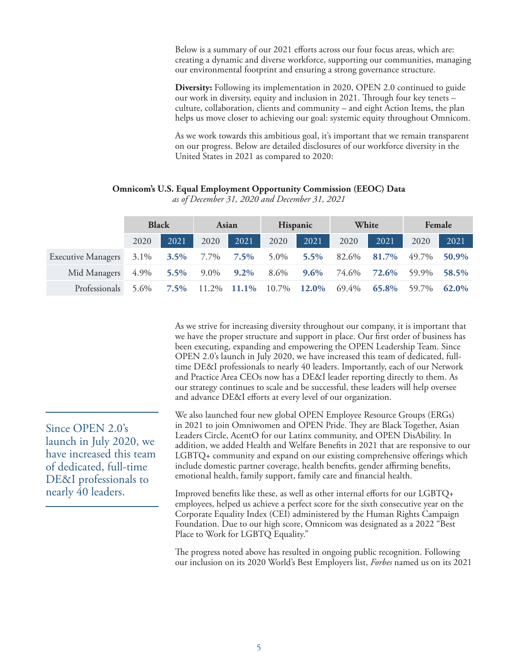Below is a summary of our 2021 efforts across our four focus areas, which are: creating a dynamic and diverse workforce, supporting our communities, managing our environmental footprint and ensuring a strong governance structure.

**Diversity:** Following its implementation in 2020, OPEN 2.0 continued to guide our work in diversity, equity and inclusion in 2021. Through four key tenets – culture, collaboration, clients and community – and eight Action Items, the plan helps us move closer to achieving our goal: systemic equity throughout Omnicom.

As we work towards this ambitious goal, it's important that we remain transparent on our progress. Below are detailed disclosures of our workforce diversity in the United States in 2021 as compared to 2020:

|                           | <b>Black</b> |         | Asian   |              | <b>Hispanic</b> |         | White |       | Female |       |
|---------------------------|--------------|---------|---------|--------------|-----------------|---------|-------|-------|--------|-------|
|                           | 2020         | 2021    | 2020    | 2021         | 2020            | 2021    | 2020  | 2021  | 2020   | 2021  |
| <b>Executive Managers</b> | $3.1\%$      | $3.5\%$ | 7.7%    | $7.5\%$      | 5.0%            | $5.5\%$ | 82.6% | 81.7% | 49.7%  | 50.9% |
| Mid Managers              | 4.9%         | $5.5\%$ | $9.0\%$ | $9.2\%$      | 8.6%            | $9.6\%$ | 74.6% | 72.6% | 59.9%  | 58.5% |
| Professionals             | 5.6%         | $7.5\%$ | 11.2%   | <b>11.1%</b> | 10.7%           | 12.0%   | 69.4% | 65.8% | 59.7%  | 62.0% |

#### **Omnicom's U.S. Equal Employment Opportunity Commission (EEOC) Data**

*as of December 31, 2020 and December 31, 2021*

As we strive for increasing diversity throughout our company, it is important that we have the proper structure and support in place. Our first order of business has been executing, expanding and empowering the OPEN Leadership Team. Since OPEN 2.0's launch in July 2020, we have increased this team of dedicated, fulltime DE&I professionals to nearly 40 leaders. Importantly, each of our Network and Practice Area CEOs now has a DE&I leader reporting directly to them. As our strategy continues to scale and be successful, these leaders will help oversee and advance DE&I efforts at every level of our organization.

We also launched four new global OPEN Employee Resource Groups (ERGs) in 2021 to join Omniwomen and OPEN Pride. They are Black Together, Asian Leaders Circle, AcentO for our Latinx community, and OPEN DisAbility. In addition, we added Health and Welfare Benefits in 2021 that are responsive to our LGBTQ+ community and expand on our existing comprehensive offerings which include domestic partner coverage, health benefits, gender affirming benefits, emotional health, family support, family care and financial health.

Improved benefits like these, as well as other internal efforts for our LGBTQ+ employees, helped us achieve a perfect score for the sixth consecutive year on the Corporate Equality Index (CEI) administered by the Human Rights Campaign Foundation. Due to our high score, Omnicom was designated as a 2022 "Best Place to Work for LGBTQ Equality."

The progress noted above has resulted in ongoing public recognition. Following our inclusion on its 2020 World's Best Employers list, *Forbes* named us on its 2021

Since OPEN 2.0's launch in July 2020, we have increased this team of dedicated, full-time DE&I professionals to nearly 40 leaders.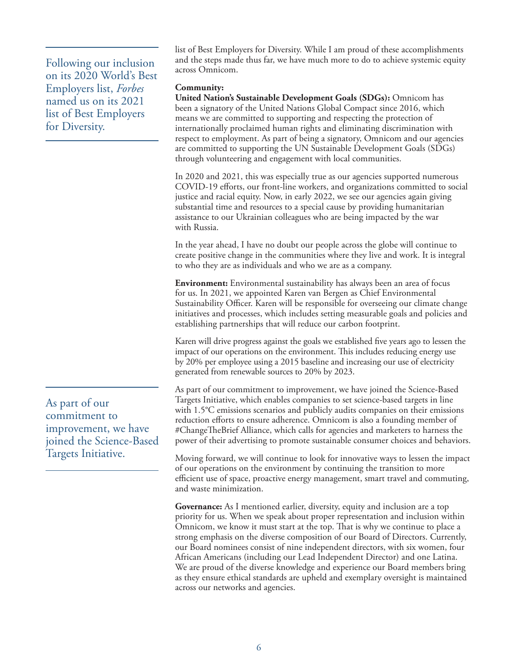Following our inclusion on its 2020 World's Best Employers list, *Forbes* named us on its 2021 list of Best Employers for Diversity.

As part of our commitment to improvement, we have joined the Science-Based Targets Initiative.

list of Best Employers for Diversity. While I am proud of these accomplishments and the steps made thus far, we have much more to do to achieve systemic equity across Omnicom.

#### **Community:**

**United Nation's Sustainable Development Goals (SDGs):** Omnicom has been a signatory of the United Nations Global Compact since 2016, which means we are committed to supporting and respecting the protection of internationally proclaimed human rights and eliminating discrimination with respect to employment. As part of being a signatory, Omnicom and our agencies are committed to supporting the UN Sustainable Development Goals (SDGs) through volunteering and engagement with local communities.

In 2020 and 2021, this was especially true as our agencies supported numerous COVID-19 efforts, our front-line workers, and organizations committed to social justice and racial equity. Now, in early 2022, we see our agencies again giving substantial time and resources to a special cause by providing humanitarian assistance to our Ukrainian colleagues who are being impacted by the war with Russia.

In the year ahead, I have no doubt our people across the globe will continue to create positive change in the communities where they live and work. It is integral to who they are as individuals and who we are as a company.

**Environment:** Environmental sustainability has always been an area of focus for us. In 2021, we appointed Karen van Bergen as Chief Environmental Sustainability Officer. Karen will be responsible for overseeing our climate change initiatives and processes, which includes setting measurable goals and policies and establishing partnerships that will reduce our carbon footprint.

Karen will drive progress against the goals we established five years ago to lessen the impact of our operations on the environment. This includes reducing energy use by 20% per employee using a 2015 baseline and increasing our use of electricity generated from renewable sources to 20% by 2023.

As part of our commitment to improvement, we have joined the Science-Based Targets Initiative, which enables companies to set science-based targets in line with 1.5°C emissions scenarios and publicly audits companies on their emissions reduction efforts to ensure adherence. Omnicom is also a founding member of #ChangeTheBrief Alliance, which calls for agencies and marketers to harness the power of their advertising to promote sustainable consumer choices and behaviors.

Moving forward, we will continue to look for innovative ways to lessen the impact of our operations on the environment by continuing the transition to more efficient use of space, proactive energy management, smart travel and commuting, and waste minimization.

**Governance:** As I mentioned earlier, diversity, equity and inclusion are a top priority for us. When we speak about proper representation and inclusion within Omnicom, we know it must start at the top. That is why we continue to place a strong emphasis on the diverse composition of our Board of Directors. Currently, our Board nominees consist of nine independent directors, with six women, four African Americans (including our Lead Independent Director) and one Latina. We are proud of the diverse knowledge and experience our Board members bring as they ensure ethical standards are upheld and exemplary oversight is maintained across our networks and agencies.